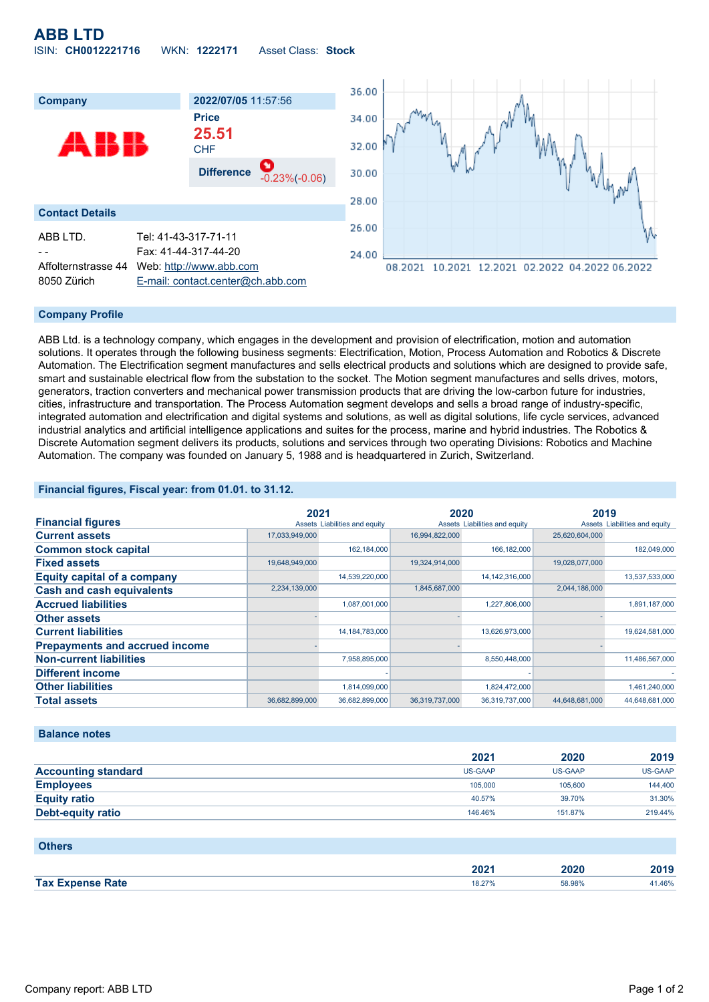# **ABB LTD** ISIN: **CH0012221716** WKN: **1222171** Asset Class: **Stock**



### **Company Profile**

ABB Ltd. is a technology company, which engages in the development and provision of electrification, motion and automation solutions. It operates through the following business segments: Electrification, Motion, Process Automation and Robotics & Discrete Automation. The Electrification segment manufactures and sells electrical products and solutions which are designed to provide safe, smart and sustainable electrical flow from the substation to the socket. The Motion segment manufactures and sells drives, motors, generators, traction converters and mechanical power transmission products that are driving the low-carbon future for industries, cities, infrastructure and transportation. The Process Automation segment develops and sells a broad range of industry-specific, integrated automation and electrification and digital systems and solutions, as well as digital solutions, life cycle services, advanced industrial analytics and artificial intelligence applications and suites for the process, marine and hybrid industries. The Robotics & Discrete Automation segment delivers its products, solutions and services through two operating Divisions: Robotics and Machine Automation. The company was founded on January 5, 1988 and is headquartered in Zurich, Switzerland.

### **Financial figures, Fiscal year: from 01.01. to 31.12.**

|                                       | 2021           |                               | 2020           |                               | 2019           |                               |
|---------------------------------------|----------------|-------------------------------|----------------|-------------------------------|----------------|-------------------------------|
| <b>Financial figures</b>              |                | Assets Liabilities and equity |                | Assets Liabilities and equity |                | Assets Liabilities and equity |
| <b>Current assets</b>                 | 17,033,949,000 |                               | 16,994,822,000 |                               | 25,620,604,000 |                               |
| <b>Common stock capital</b>           |                | 162,184,000                   |                | 166,182,000                   |                | 182,049,000                   |
| <b>Fixed assets</b>                   | 19,648,949,000 |                               | 19,324,914,000 |                               | 19,028,077,000 |                               |
| <b>Equity capital of a company</b>    |                | 14,539,220,000                |                | 14, 142, 316, 000             |                | 13,537,533,000                |
| <b>Cash and cash equivalents</b>      | 2,234,139,000  |                               | 1,845,687,000  |                               | 2,044,186,000  |                               |
| <b>Accrued liabilities</b>            |                | 1,087,001,000                 |                | 1,227,806,000                 |                | 1,891,187,000                 |
| <b>Other assets</b>                   |                |                               |                |                               |                |                               |
| <b>Current liabilities</b>            |                | 14, 184, 783, 000             |                | 13,626,973,000                |                | 19,624,581,000                |
| <b>Prepayments and accrued income</b> |                |                               |                |                               |                |                               |
| <b>Non-current liabilities</b>        |                | 7,958,895,000                 |                | 8,550,448,000                 |                | 11,486,567,000                |
| <b>Different income</b>               |                |                               |                |                               |                |                               |
| <b>Other liabilities</b>              |                | 1,814,099,000                 |                | 1,824,472,000                 |                | 1,461,240,000                 |
| <b>Total assets</b>                   | 36,682,899,000 | 36,682,899,000                | 36,319,737,000 | 36,319,737,000                | 44,648,681,000 | 44,648,681,000                |

#### **Balance notes**

|                            | 2021           | 2020           | 2019           |
|----------------------------|----------------|----------------|----------------|
| <b>Accounting standard</b> | <b>US-GAAP</b> | <b>US-GAAP</b> | <b>US-GAAP</b> |
| <b>Employees</b>           | 105,000        | 105,600        | 144,400        |
| <b>Equity ratio</b>        | 40.57%         | 39.70%         | 31.30%         |
| Debt-equity ratio          | 146.46%        | 151.87%        | 219.44%        |

| <b>Others</b>           |        |        |        |
|-------------------------|--------|--------|--------|
|                         | 2021   | 2020   | 2019   |
| <b>Tax Expense Rate</b> | 18.27% | 58.98% | 41.46% |